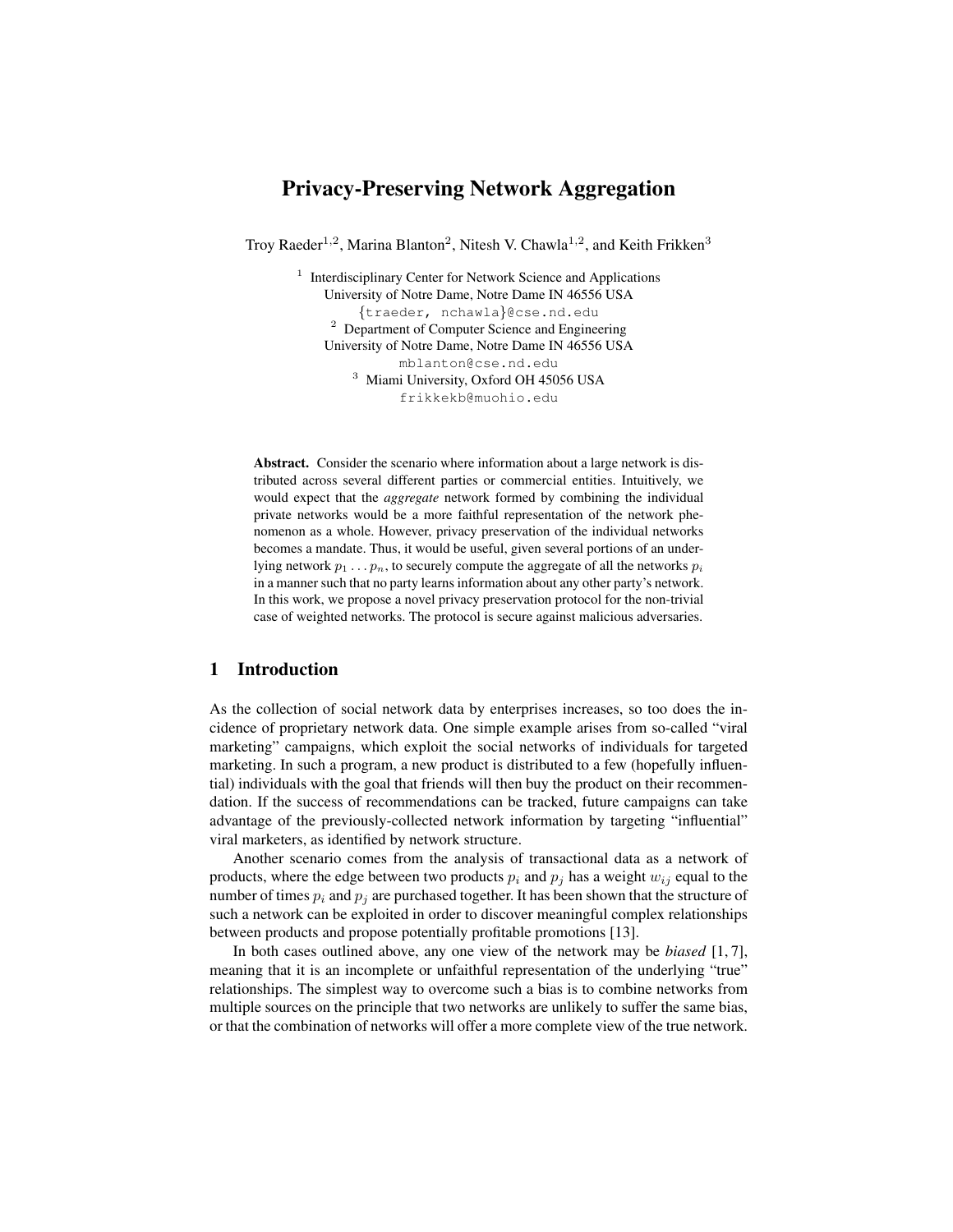# Privacy-Preserving Network Aggregation

Troy Raeder<sup>1,2</sup>, Marina Blanton<sup>2</sup>, Nitesh V. Chawla<sup>1,2</sup>, and Keith Frikken<sup>3</sup>

<sup>1</sup> Interdisciplinary Center for Network Science and Applications University of Notre Dame, Notre Dame IN 46556 USA {traeder, nchawla}@cse.nd.edu <sup>2</sup> Department of Computer Science and Engineering University of Notre Dame, Notre Dame IN 46556 USA mblanton@cse.nd.edu <sup>3</sup> Miami University, Oxford OH 45056 USA frikkekb@muohio.edu

Abstract. Consider the scenario where information about a large network is distributed across several different parties or commercial entities. Intuitively, we would expect that the *aggregate* network formed by combining the individual private networks would be a more faithful representation of the network phenomenon as a whole. However, privacy preservation of the individual networks becomes a mandate. Thus, it would be useful, given several portions of an underlying network  $p_1 \ldots p_n$ , to securely compute the aggregate of all the networks  $p_i$ in a manner such that no party learns information about any other party's network. In this work, we propose a novel privacy preservation protocol for the non-trivial case of weighted networks. The protocol is secure against malicious adversaries.

# 1 Introduction

As the collection of social network data by enterprises increases, so too does the incidence of proprietary network data. One simple example arises from so-called "viral marketing" campaigns, which exploit the social networks of individuals for targeted marketing. In such a program, a new product is distributed to a few (hopefully influential) individuals with the goal that friends will then buy the product on their recommendation. If the success of recommendations can be tracked, future campaigns can take advantage of the previously-collected network information by targeting "influential" viral marketers, as identified by network structure.

Another scenario comes from the analysis of transactional data as a network of products, where the edge between two products  $p_i$  and  $p_j$  has a weight  $w_{ij}$  equal to the number of times  $p_i$  and  $p_j$  are purchased together. It has been shown that the structure of such a network can be exploited in order to discover meaningful complex relationships between products and propose potentially profitable promotions [13].

In both cases outlined above, any one view of the network may be *biased* [1, 7], meaning that it is an incomplete or unfaithful representation of the underlying "true" relationships. The simplest way to overcome such a bias is to combine networks from multiple sources on the principle that two networks are unlikely to suffer the same bias, or that the combination of networks will offer a more complete view of the true network.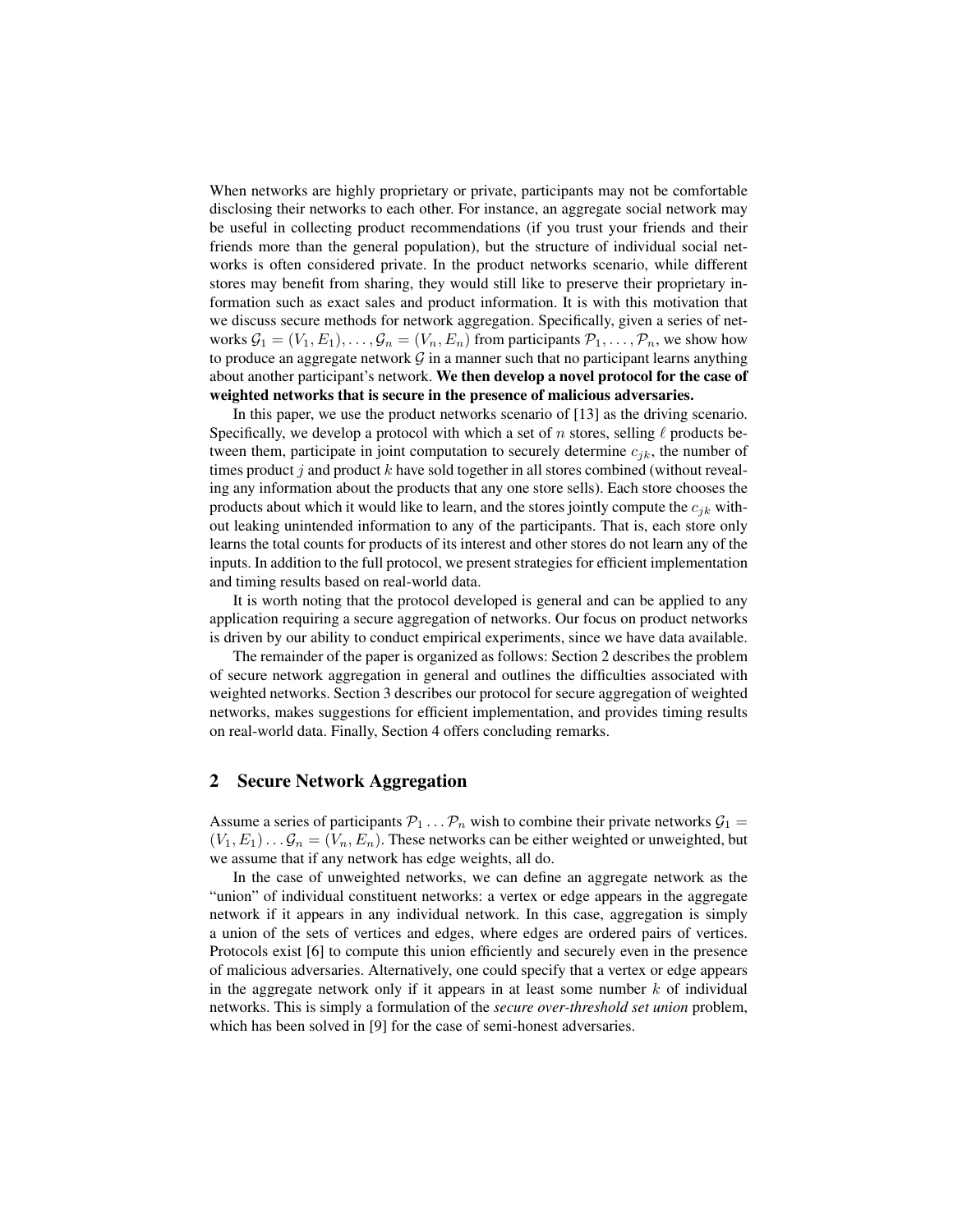When networks are highly proprietary or private, participants may not be comfortable disclosing their networks to each other. For instance, an aggregate social network may be useful in collecting product recommendations (if you trust your friends and their friends more than the general population), but the structure of individual social networks is often considered private. In the product networks scenario, while different stores may benefit from sharing, they would still like to preserve their proprietary information such as exact sales and product information. It is with this motivation that we discuss secure methods for network aggregation. Specifically, given a series of networks  $G_1 = (V_1, E_1), \ldots, G_n = (V_n, E_n)$  from participants  $P_1, \ldots, P_n$ , we show how to produce an aggregate network  $G$  in a manner such that no participant learns anything about another participant's network. We then develop a novel protocol for the case of weighted networks that is secure in the presence of malicious adversaries.

In this paper, we use the product networks scenario of [13] as the driving scenario. Specifically, we develop a protocol with which a set of n stores, selling  $\ell$  products between them, participate in joint computation to securely determine  $c_{ik}$ , the number of times product  $j$  and product  $k$  have sold together in all stores combined (without revealing any information about the products that any one store sells). Each store chooses the products about which it would like to learn, and the stores jointly compute the  $c_{ik}$  without leaking unintended information to any of the participants. That is, each store only learns the total counts for products of its interest and other stores do not learn any of the inputs. In addition to the full protocol, we present strategies for efficient implementation and timing results based on real-world data.

It is worth noting that the protocol developed is general and can be applied to any application requiring a secure aggregation of networks. Our focus on product networks is driven by our ability to conduct empirical experiments, since we have data available.

The remainder of the paper is organized as follows: Section 2 describes the problem of secure network aggregation in general and outlines the difficulties associated with weighted networks. Section 3 describes our protocol for secure aggregation of weighted networks, makes suggestions for efficient implementation, and provides timing results on real-world data. Finally, Section 4 offers concluding remarks.

# 2 Secure Network Aggregation

Assume a series of participants  $P_1 \dots P_n$  wish to combine their private networks  $G_1$  =  $(V_1, E_1) \dots \mathcal{G}_n = (V_n, E_n)$ . These networks can be either weighted or unweighted, but we assume that if any network has edge weights, all do.

In the case of unweighted networks, we can define an aggregate network as the "union" of individual constituent networks: a vertex or edge appears in the aggregate network if it appears in any individual network. In this case, aggregation is simply a union of the sets of vertices and edges, where edges are ordered pairs of vertices. Protocols exist [6] to compute this union efficiently and securely even in the presence of malicious adversaries. Alternatively, one could specify that a vertex or edge appears in the aggregate network only if it appears in at least some number  $k$  of individual networks. This is simply a formulation of the *secure over-threshold set union* problem, which has been solved in [9] for the case of semi-honest adversaries.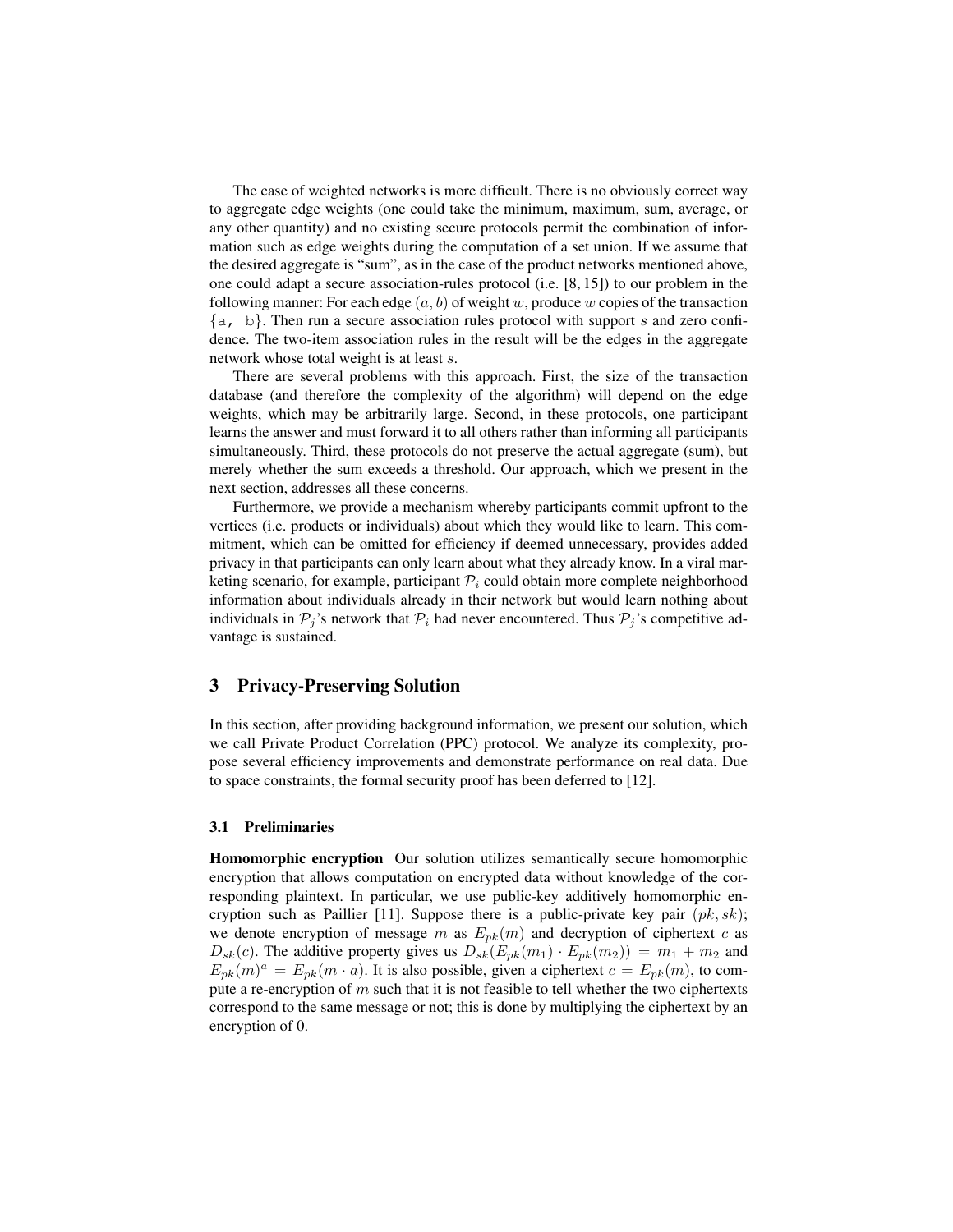The case of weighted networks is more difficult. There is no obviously correct way to aggregate edge weights (one could take the minimum, maximum, sum, average, or any other quantity) and no existing secure protocols permit the combination of information such as edge weights during the computation of a set union. If we assume that the desired aggregate is "sum", as in the case of the product networks mentioned above, one could adapt a secure association-rules protocol (i.e. [8, 15]) to our problem in the following manner: For each edge  $(a, b)$  of weight w, produce w copies of the transaction  $\{a, b\}$ . Then run a secure association rules protocol with support s and zero confidence. The two-item association rules in the result will be the edges in the aggregate network whose total weight is at least s.

There are several problems with this approach. First, the size of the transaction database (and therefore the complexity of the algorithm) will depend on the edge weights, which may be arbitrarily large. Second, in these protocols, one participant learns the answer and must forward it to all others rather than informing all participants simultaneously. Third, these protocols do not preserve the actual aggregate (sum), but merely whether the sum exceeds a threshold. Our approach, which we present in the next section, addresses all these concerns.

Furthermore, we provide a mechanism whereby participants commit upfront to the vertices (i.e. products or individuals) about which they would like to learn. This commitment, which can be omitted for efficiency if deemed unnecessary, provides added privacy in that participants can only learn about what they already know. In a viral marketing scenario, for example, participant  $P_i$  could obtain more complete neighborhood information about individuals already in their network but would learn nothing about individuals in  $\mathcal{P}_i$ 's network that  $\mathcal{P}_i$  had never encountered. Thus  $\mathcal{P}_i$ 's competitive advantage is sustained.

### 3 Privacy-Preserving Solution

In this section, after providing background information, we present our solution, which we call Private Product Correlation (PPC) protocol. We analyze its complexity, propose several efficiency improvements and demonstrate performance on real data. Due to space constraints, the formal security proof has been deferred to [12].

#### 3.1 Preliminaries

Homomorphic encryption Our solution utilizes semantically secure homomorphic encryption that allows computation on encrypted data without knowledge of the corresponding plaintext. In particular, we use public-key additively homomorphic encryption such as Paillier [11]. Suppose there is a public-private key pair  $(pk, sk)$ ; we denote encryption of message m as  $E_{pk}(m)$  and decryption of ciphertext c as  $D_{sk}(c)$ . The additive property gives us  $D_{sk}(E_{pk}(m_1) \cdot E_{pk}(m_2)) = m_1 + m_2$  and  $E_{pk}(m)^a = E_{pk}(m \cdot a)$ . It is also possible, given a ciphertext  $c = E_{pk}(m)$ , to compute a re-encryption of  $m$  such that it is not feasible to tell whether the two ciphertexts correspond to the same message or not; this is done by multiplying the ciphertext by an encryption of 0.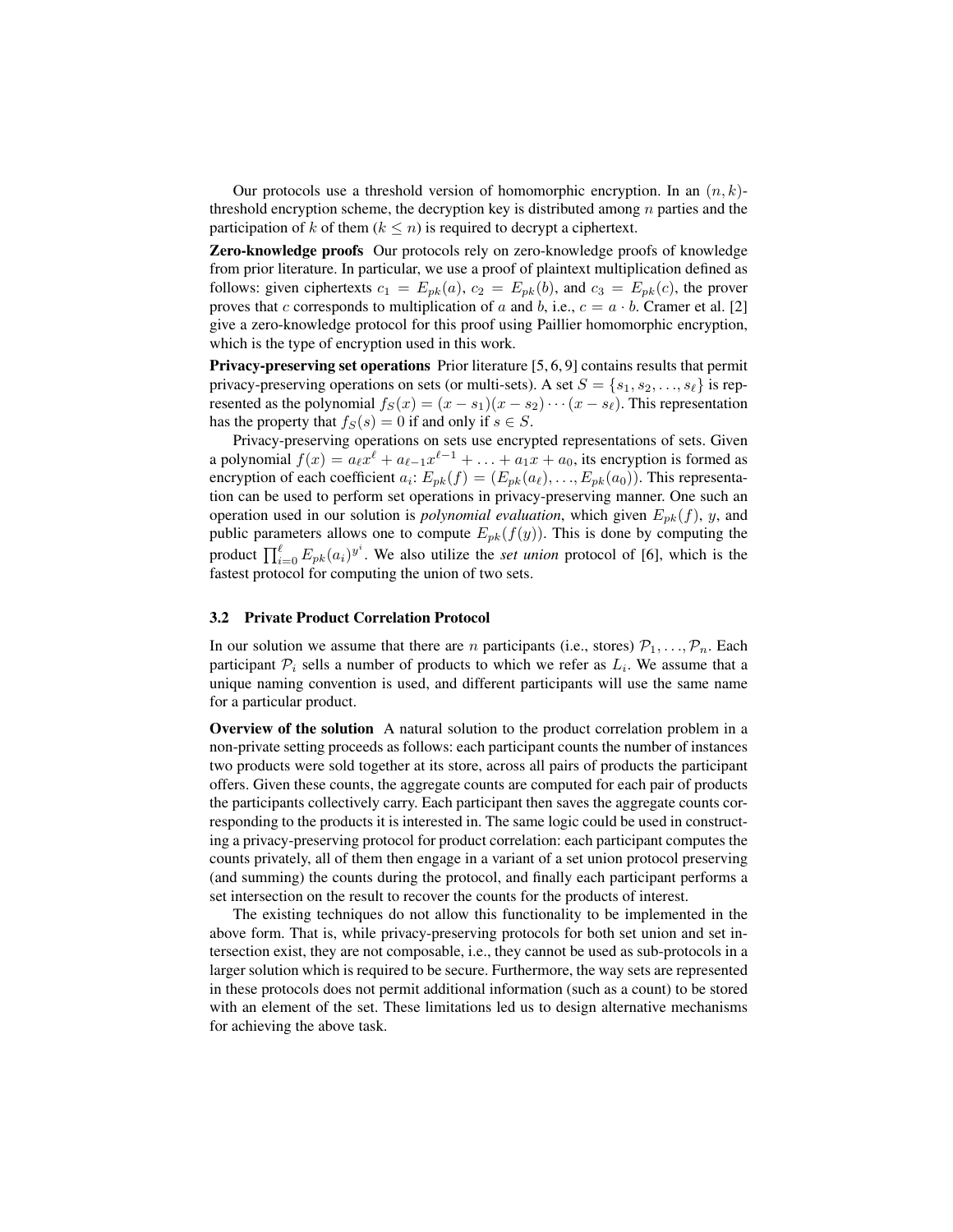Our protocols use a threshold version of homomorphic encryption. In an  $(n, k)$ threshold encryption scheme, the decryption key is distributed among  $n$  parties and the participation of k of them ( $k \leq n$ ) is required to decrypt a ciphertext.

Zero-knowledge proofs Our protocols rely on zero-knowledge proofs of knowledge from prior literature. In particular, we use a proof of plaintext multiplication defined as follows: given ciphertexts  $c_1 = E_{pk}(a)$ ,  $c_2 = E_{pk}(b)$ , and  $c_3 = E_{pk}(c)$ , the prover proves that c corresponds to multiplication of a and b, i.e.,  $c = a \cdot b$ . Cramer et al. [2] give a zero-knowledge protocol for this proof using Paillier homomorphic encryption, which is the type of encryption used in this work.

Privacy-preserving set operations Prior literature [5, 6, 9] contains results that permit privacy-preserving operations on sets (or multi-sets). A set  $S = \{s_1, s_2, \ldots, s_\ell\}$  is represented as the polynomial  $f_S(x) = (x - s_1)(x - s_2) \cdots (x - s_\ell)$ . This representation has the property that  $f_S(s) = 0$  if and only if  $s \in S$ .

Privacy-preserving operations on sets use encrypted representations of sets. Given a polynomial  $f(x) = a_\ell x^\ell + a_{\ell-1}x^{\ell-1} + \ldots + a_1x + a_0$ , its encryption is formed as encryption of each coefficient  $a_i: E_{pk}(f) = (E_{pk}(a_\ell), \ldots, E_{pk}(a_0))$ . This representation can be used to perform set operations in privacy-preserving manner. One such an operation used in our solution is *polynomial evaluation*, which given  $E_{pk}(f)$ , y, and public parameters allows one to compute  $E_{pk}(f(y))$ . This is done by computing the product  $\prod_{i=0}^{\ell} E_{pk}(a_i)^{y^i}$ . We also utilize the *set union* protocol of [6], which is the fastest protocol for computing the union of two sets.

#### 3.2 Private Product Correlation Protocol

In our solution we assume that there are *n* participants (i.e., stores)  $P_1, \ldots, P_n$ . Each participant  $P_i$  sells a number of products to which we refer as  $L_i$ . We assume that a unique naming convention is used, and different participants will use the same name for a particular product.

Overview of the solution A natural solution to the product correlation problem in a non-private setting proceeds as follows: each participant counts the number of instances two products were sold together at its store, across all pairs of products the participant offers. Given these counts, the aggregate counts are computed for each pair of products the participants collectively carry. Each participant then saves the aggregate counts corresponding to the products it is interested in. The same logic could be used in constructing a privacy-preserving protocol for product correlation: each participant computes the counts privately, all of them then engage in a variant of a set union protocol preserving (and summing) the counts during the protocol, and finally each participant performs a set intersection on the result to recover the counts for the products of interest.

The existing techniques do not allow this functionality to be implemented in the above form. That is, while privacy-preserving protocols for both set union and set intersection exist, they are not composable, i.e., they cannot be used as sub-protocols in a larger solution which is required to be secure. Furthermore, the way sets are represented in these protocols does not permit additional information (such as a count) to be stored with an element of the set. These limitations led us to design alternative mechanisms for achieving the above task.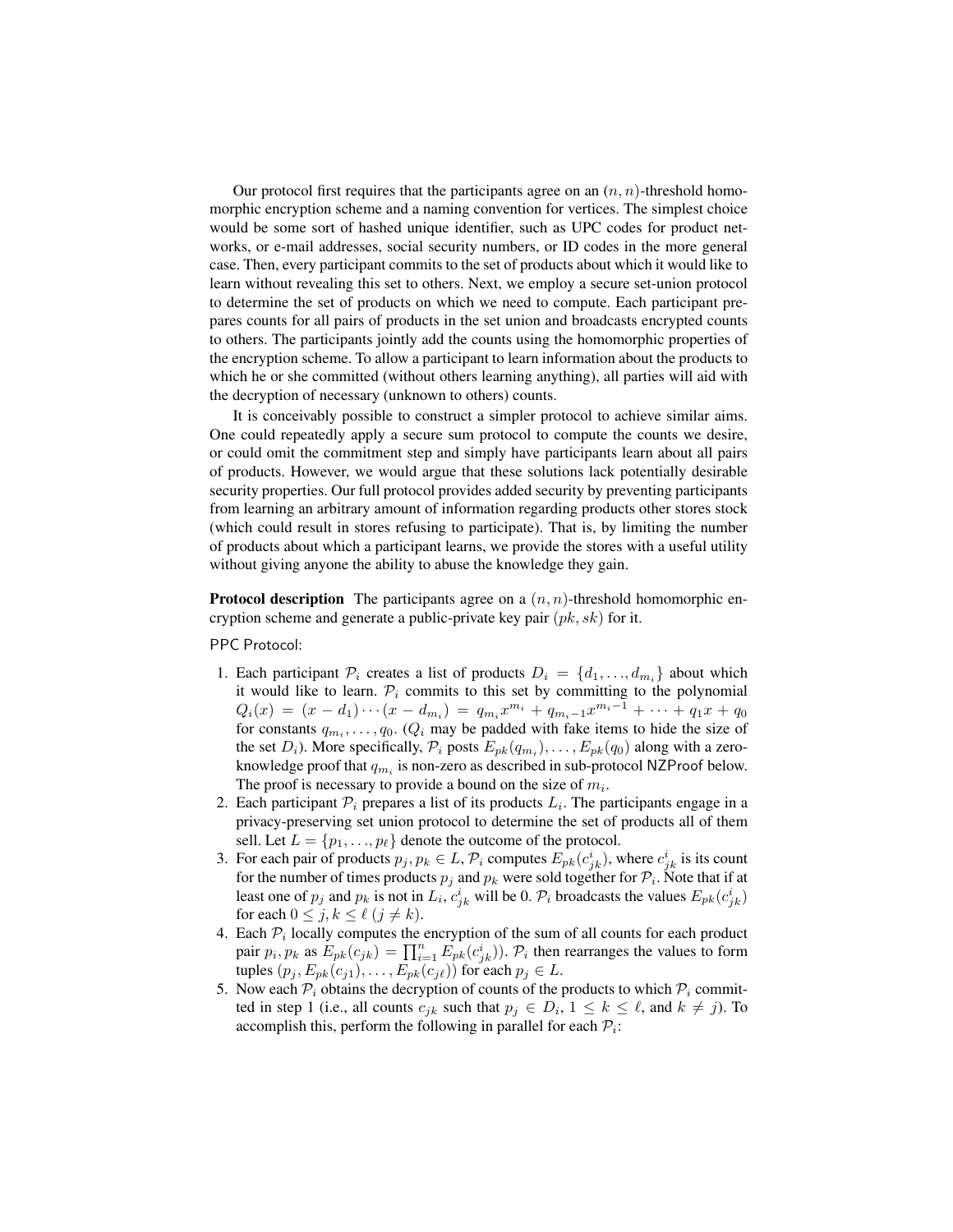Our protocol first requires that the participants agree on an  $(n, n)$ -threshold homomorphic encryption scheme and a naming convention for vertices. The simplest choice would be some sort of hashed unique identifier, such as UPC codes for product networks, or e-mail addresses, social security numbers, or ID codes in the more general case. Then, every participant commits to the set of products about which it would like to learn without revealing this set to others. Next, we employ a secure set-union protocol to determine the set of products on which we need to compute. Each participant prepares counts for all pairs of products in the set union and broadcasts encrypted counts to others. The participants jointly add the counts using the homomorphic properties of the encryption scheme. To allow a participant to learn information about the products to which he or she committed (without others learning anything), all parties will aid with the decryption of necessary (unknown to others) counts.

It is conceivably possible to construct a simpler protocol to achieve similar aims. One could repeatedly apply a secure sum protocol to compute the counts we desire, or could omit the commitment step and simply have participants learn about all pairs of products. However, we would argue that these solutions lack potentially desirable security properties. Our full protocol provides added security by preventing participants from learning an arbitrary amount of information regarding products other stores stock (which could result in stores refusing to participate). That is, by limiting the number of products about which a participant learns, we provide the stores with a useful utility without giving anyone the ability to abuse the knowledge they gain.

**Protocol description** The participants agree on a  $(n, n)$ -threshold homomorphic encryption scheme and generate a public-private key pair  $(pk, sk)$  for it.

PPC Protocol:

- 1. Each participant  $P_i$  creates a list of products  $D_i = \{d_1, \ldots, d_{m_i}\}\$  about which it would like to learn.  $P_i$  commits to this set by committing to the polynomial  $Q_i(x) = (x - d_1) \cdots (x - d_{m_i}) = q_{m_i} x^{m_i} + q_{m_i-1} x^{m_i-1} + \cdots + q_1 x + q_0$ for constants  $q_{m_i}, \ldots, q_0$ . ( $Q_i$  may be padded with fake items to hide the size of the set  $D_i$ ). More specifically,  $P_i$  posts  $E_{pk}(q_{m_i}), \ldots, E_{pk}(q_0)$  along with a zeroknowledge proof that  $q_{m_i}$  is non-zero as described in sub-protocol NZProof below. The proof is necessary to provide a bound on the size of  $m_i$ .
- 2. Each participant  $P_i$  prepares a list of its products  $L_i$ . The participants engage in a privacy-preserving set union protocol to determine the set of products all of them sell. Let  $L = \{p_1, \ldots, p_\ell\}$  denote the outcome of the protocol.
- 3. For each pair of products  $p_j, p_k \in L$ ,  $\mathcal{P}_i$  computes  $E_{pk}(c^i_{jk})$ , where  $c^i_{jk}$  is its count for the number of times products  $p_j$  and  $p_k$  were sold together for  $\mathcal{P}_i$ . Note that if at least one of  $p_j$  and  $p_k$  is not in  $L_i$ ,  $c_{jk}^i$  will be 0.  $\mathcal{P}_i$  broadcasts the values  $E_{pk}(c_{jk}^i)$ for each  $0 \leq j, k \leq \ell \ (j \neq k).$
- 4. Each  $P_i$  locally computes the encryption of the sum of all counts for each product pair  $p_i, p_k$  as  $E_{pk}(c_{jk}) = \prod_{i=1}^n E_{pk}(c_{jk}^i)$ .  $\mathcal{P}_i$  then rearranges the values to form tuples  $(p_j, E_{pk}(c_{j1}), \ldots, E_{pk}(c_{j\ell}))$  for each  $p_j \in L$ .
- 5. Now each  $P_i$  obtains the decryption of counts of the products to which  $P_i$  committed in step 1 (i.e., all counts  $c_{jk}$  such that  $p_j \in D_i$ ,  $1 \leq k \leq \ell$ , and  $k \neq j$ ). To accomplish this, perform the following in parallel for each  $P_i$ :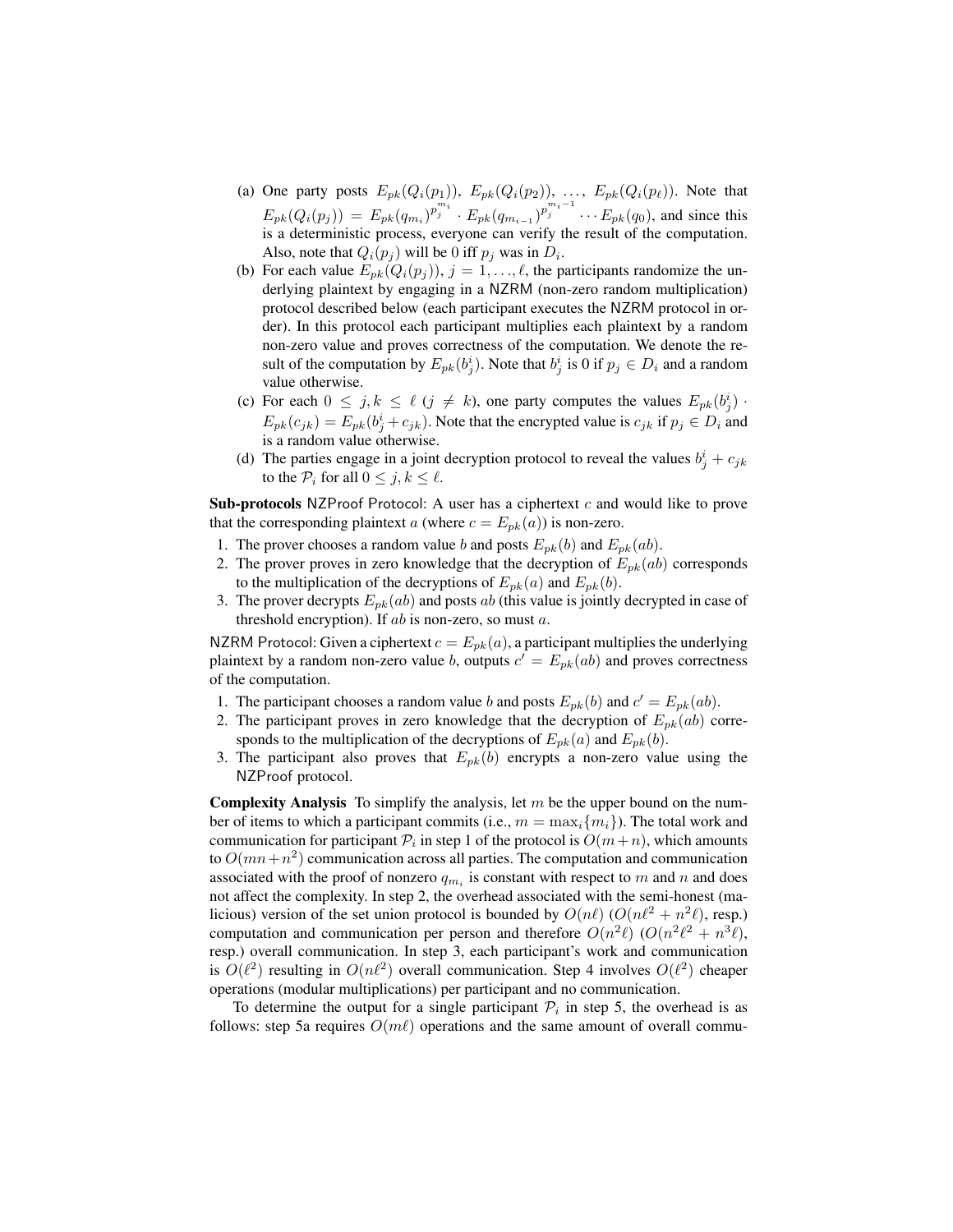- (a) One party posts  $E_{pk}(Q_i(p_1))$ ,  $E_{pk}(Q_i(p_2))$ , ...,  $E_{pk}(Q_i(p_\ell))$ . Note that  $E_{pk}(Q_i(p_j)) = E_{pk}(q_{m_i})^{p_j^{m_i}} \cdot E_{pk}(q_{m_{i-1}})^{p_j^{m_i-1}} \cdots E_{pk}(q_0)$ , and since this is a deterministic process, everyone can verify the result of the computation. Also, note that  $Q_i(p_j)$  will be 0 iff  $p_j$  was in  $D_i$ .
- (b) For each value  $E_{pk}(Q_i(p_j))$ ,  $j = 1, \ldots, \ell$ , the participants randomize the underlying plaintext by engaging in a NZRM (non-zero random multiplication) protocol described below (each participant executes the NZRM protocol in order). In this protocol each participant multiplies each plaintext by a random non-zero value and proves correctness of the computation. We denote the result of the computation by  $E_{pk}(b_j^i)$ . Note that  $b_j^i$  is 0 if  $p_j \in D_i$  and a random value otherwise.
- (c) For each  $0 \leq j, k \leq \ell \ (j \neq k)$ , one party computes the values  $E_{pk}(b_j^i)$ .  $E_{pk}(c_{jk}) = E_{pk}(b_j + c_{jk})$ . Note that the encrypted value is  $c_{jk}$  if  $p_j \in D_i$  and is a random value otherwise.
- (d) The parties engage in a joint decryption protocol to reveal the values  $b_j^i + c_{jk}$ to the  $\mathcal{P}_i$  for all  $0 \leq j, k \leq \ell$ .

Sub-protocols NZProof Protocol: A user has a ciphertext  $c$  and would like to prove that the corresponding plaintext a (where  $c = E_{pk}(a)$ ) is non-zero.

- 1. The prover chooses a random value b and posts  $E_{pk}(b)$  and  $E_{pk}(ab)$ .
- 2. The prover proves in zero knowledge that the decryption of  $E_{pk}(ab)$  corresponds to the multiplication of the decryptions of  $E_{pk}(a)$  and  $E_{pk}(b)$ .
- 3. The prover decrypts  $E_{pk}(ab)$  and posts ab (this value is jointly decrypted in case of threshold encryption). If  $ab$  is non-zero, so must  $a$ .

NZRM Protocol: Given a ciphertext  $c = E_{pk}(a)$ , a participant multiplies the underlying plaintext by a random non-zero value b, outputs  $c' = E_{pk}(ab)$  and proves correctness of the computation.

- 1. The participant chooses a random value b and posts  $E_{pk}(b)$  and  $c' = E_{pk}(ab)$ .
- 2. The participant proves in zero knowledge that the decryption of  $E_{pk}(ab)$  corresponds to the multiplication of the decryptions of  $E_{pk}(a)$  and  $E_{pk}(b)$ .
- 3. The participant also proves that  $E_{pk}(b)$  encrypts a non-zero value using the NZProof protocol.

**Complexity Analysis** To simplify the analysis, let  $m$  be the upper bound on the number of items to which a participant commits (i.e.,  $m = \max_i \{m_i\}$ ). The total work and communication for participant  $P_i$  in step 1 of the protocol is  $O(m+n)$ , which amounts to  $O(mn + n^2)$  communication across all parties. The computation and communication associated with the proof of nonzero  $q_{m_i}$  is constant with respect to m and n and does not affect the complexity. In step 2, the overhead associated with the semi-honest (malicious) version of the set union protocol is bounded by  $O(n\ell)$   $(O(n\ell^2 + n^2\ell),$  resp.) computation and communication per person and therefore  $O(n^2\ell)$   $(O(n^2\ell^2 + n^3\ell))$ , resp.) overall communication. In step 3, each participant's work and communication is  $O(\ell^2)$  resulting in  $O(n\ell^2)$  overall communication. Step 4 involves  $O(\ell^2)$  cheaper operations (modular multiplications) per participant and no communication.

To determine the output for a single participant  $P_i$  in step 5, the overhead is as follows: step 5a requires  $O(m\ell)$  operations and the same amount of overall commu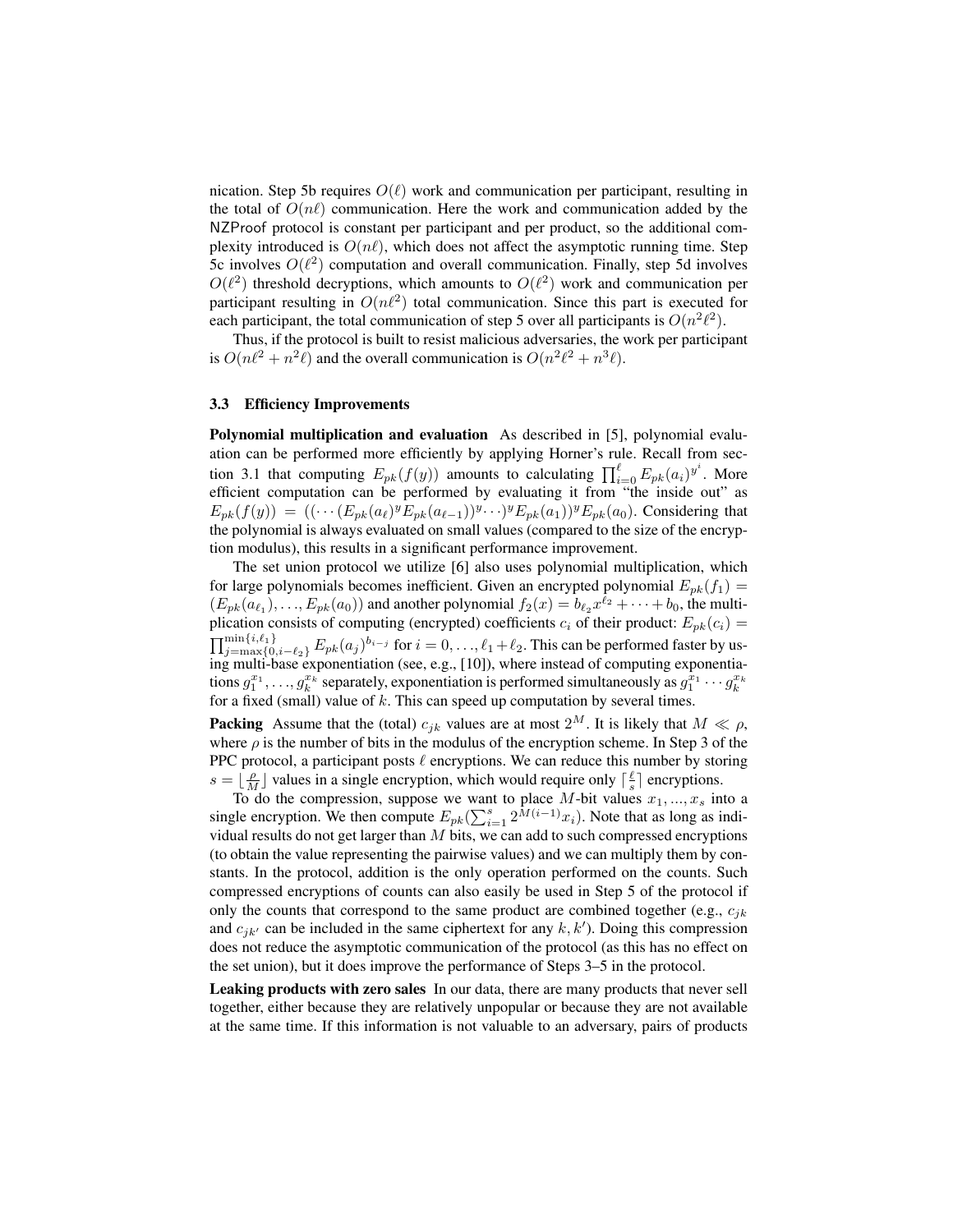nication. Step 5b requires  $O(\ell)$  work and communication per participant, resulting in the total of  $O(n\ell)$  communication. Here the work and communication added by the NZProof protocol is constant per participant and per product, so the additional complexity introduced is  $O(n\ell)$ , which does not affect the asymptotic running time. Step 5c involves  $O(\ell^2)$  computation and overall communication. Finally, step 5d involves  $O(\ell^2)$  threshold decryptions, which amounts to  $O(\ell^2)$  work and communication per participant resulting in  $O(n\ell^2)$  total communication. Since this part is executed for each participant, the total communication of step 5 over all participants is  $O(n^2\ell^2)$ .

Thus, if the protocol is built to resist malicious adversaries, the work per participant is  $O(n\ell^2 + n^2\ell)$  and the overall communication is  $O(n^2\ell^2 + n^3\ell)$ .

### 3.3 Efficiency Improvements

Polynomial multiplication and evaluation As described in [5], polynomial evaluation can be performed more efficiently by applying Horner's rule. Recall from section 3.1 that computing  $E_{pk}(f(y))$  amounts to calculating  $\prod_{i=0}^{\ell} E_{pk}(a_i)^{y^i}$ . More efficient computation can be performed by evaluating it from "the inside out" as  $E_{pk}(f(y)) = ((\cdots (E_{pk}(a_\ell)^y E_{pk}(a_{\ell-1}))^y \cdots)^y E_{pk}(a_1))^y E_{pk}(a_0)$ . Considering that the polynomial is always evaluated on small values (compared to the size of the encryption modulus), this results in a significant performance improvement.

The set union protocol we utilize [6] also uses polynomial multiplication, which for large polynomials becomes inefficient. Given an encrypted polynomial  $E_{nk}(f_1)$  =  $(E_{pk}(a_{\ell_1}), \ldots, E_{pk}(a_0))$  and another polynomial  $f_2(x) = b_{\ell_2} x^{\ell_2} + \cdots + b_0$ , the multiplication consists of computing (encrypted) coefficients  $c_i$  of their product:  $E_{pk}(c_i)$  =  $\prod_{j=\max\{0,i-\ell_2\}}^{\min\{i,\ell_1\}} E_{pk}(a_j)^{b_{i-j}}$  for  $i=0,\ldots,\ell_1+\ell_2$ . This can be performed faster by using multi-base exponentiation (see, e.g., [10]), where instead of computing exponentiations  $g_1^{x_1}, \ldots, g_k^{x_k}$  separately, exponentiation is performed simultaneously as  $g_1^{\bar{x}_1} \cdots g_k^{\bar{x}_k}$ for a fixed (small) value of  $k$ . This can speed up computation by several times.

**Packing** Assume that the (total)  $c_{jk}$  values are at most  $2^M$ . It is likely that  $M \ll \rho$ , where  $\rho$  is the number of bits in the modulus of the encryption scheme. In Step 3 of the PPC protocol, a participant posts  $\ell$  encryptions. We can reduce this number by storing  $s = \lfloor \frac{\rho}{M} \rfloor$  values in a single encryption, which would require only  $\lceil \frac{\ell}{s} \rceil$  encryptions.

To do the compression, suppose we want to place M-bit values  $x_1, ..., x_s$  into a single encryption. We then compute  $E_{pk}(\sum_{i=1}^{s} 2^{\tilde{M}(i-1)}x_i)$ . Note that as long as individual results do not get larger than  $M$  bits, we can add to such compressed encryptions (to obtain the value representing the pairwise values) and we can multiply them by constants. In the protocol, addition is the only operation performed on the counts. Such compressed encryptions of counts can also easily be used in Step 5 of the protocol if only the counts that correspond to the same product are combined together (e.g.,  $c_{ik}$ ) and  $c_{jk'}$  can be included in the same ciphertext for any  $k, k'$ ). Doing this compression does not reduce the asymptotic communication of the protocol (as this has no effect on the set union), but it does improve the performance of Steps 3–5 in the protocol.

Leaking products with zero sales In our data, there are many products that never sell together, either because they are relatively unpopular or because they are not available at the same time. If this information is not valuable to an adversary, pairs of products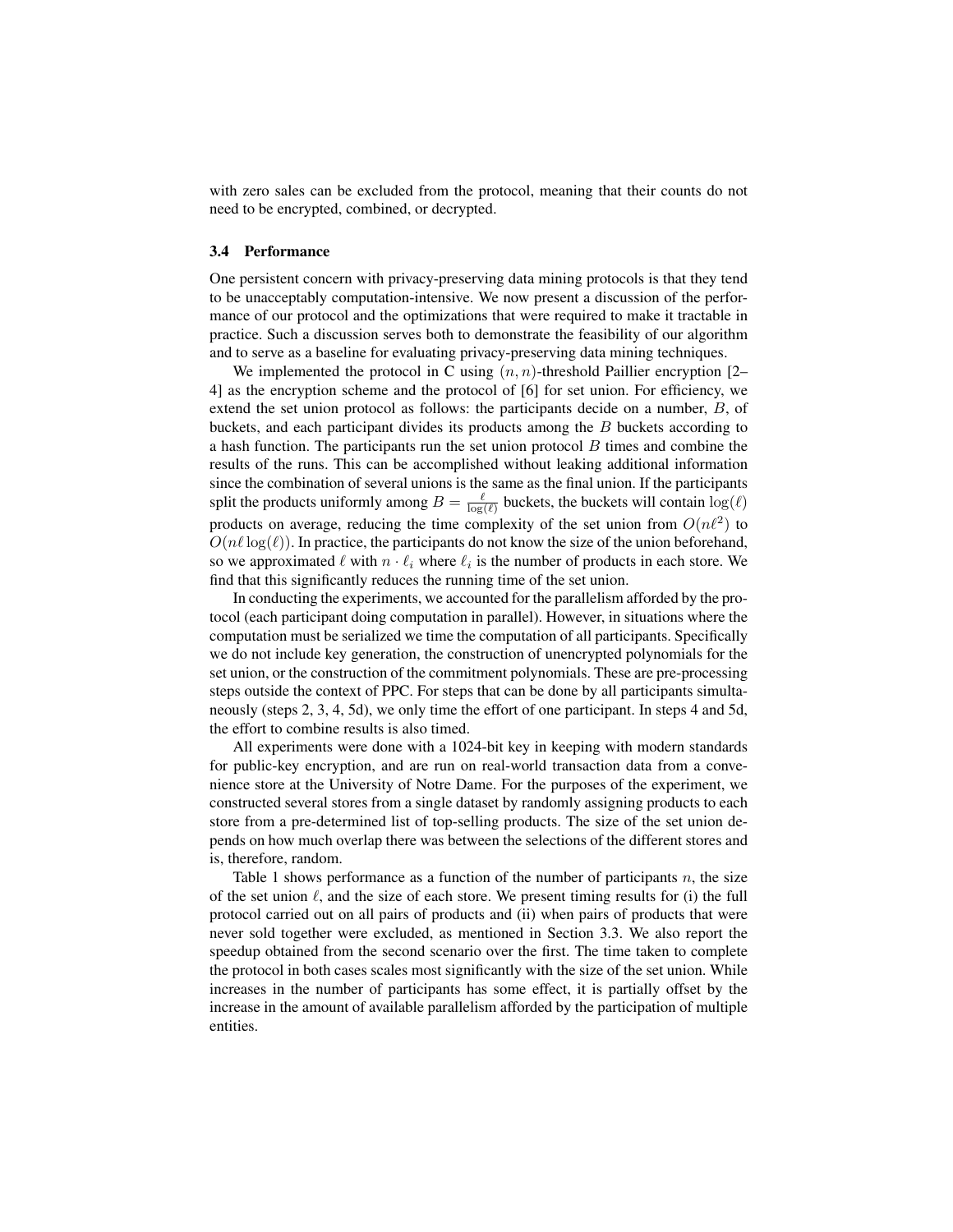with zero sales can be excluded from the protocol, meaning that their counts do not need to be encrypted, combined, or decrypted.

### 3.4 Performance

One persistent concern with privacy-preserving data mining protocols is that they tend to be unacceptably computation-intensive. We now present a discussion of the performance of our protocol and the optimizations that were required to make it tractable in practice. Such a discussion serves both to demonstrate the feasibility of our algorithm and to serve as a baseline for evaluating privacy-preserving data mining techniques.

We implemented the protocol in C using  $(n, n)$ -threshold Paillier encryption [2– 4] as the encryption scheme and the protocol of [6] for set union. For efficiency, we extend the set union protocol as follows: the participants decide on a number, B, of buckets, and each participant divides its products among the B buckets according to a hash function. The participants run the set union protocol B times and combine the results of the runs. This can be accomplished without leaking additional information since the combination of several unions is the same as the final union. If the participants split the products uniformly among  $B = \frac{\ell}{\log(\ell)}$  buckets, the buckets will contain  $\log(\ell)$ products on average, reducing the time complexity of the set union from  $O(n\ell^2)$  to  $O(n\ell \log(\ell))$ . In practice, the participants do not know the size of the union beforehand, so we approximated  $\ell$  with  $n \cdot \ell_i$  where  $\ell_i$  is the number of products in each store. We find that this significantly reduces the running time of the set union.

In conducting the experiments, we accounted for the parallelism afforded by the protocol (each participant doing computation in parallel). However, in situations where the computation must be serialized we time the computation of all participants. Specifically we do not include key generation, the construction of unencrypted polynomials for the set union, or the construction of the commitment polynomials. These are pre-processing steps outside the context of PPC. For steps that can be done by all participants simultaneously (steps 2, 3, 4, 5d), we only time the effort of one participant. In steps 4 and 5d, the effort to combine results is also timed.

All experiments were done with a 1024-bit key in keeping with modern standards for public-key encryption, and are run on real-world transaction data from a convenience store at the University of Notre Dame. For the purposes of the experiment, we constructed several stores from a single dataset by randomly assigning products to each store from a pre-determined list of top-selling products. The size of the set union depends on how much overlap there was between the selections of the different stores and is, therefore, random.

Table 1 shows performance as a function of the number of participants  $n$ , the size of the set union  $\ell$ , and the size of each store. We present timing results for (i) the full protocol carried out on all pairs of products and (ii) when pairs of products that were never sold together were excluded, as mentioned in Section 3.3. We also report the speedup obtained from the second scenario over the first. The time taken to complete the protocol in both cases scales most significantly with the size of the set union. While increases in the number of participants has some effect, it is partially offset by the increase in the amount of available parallelism afforded by the participation of multiple entities.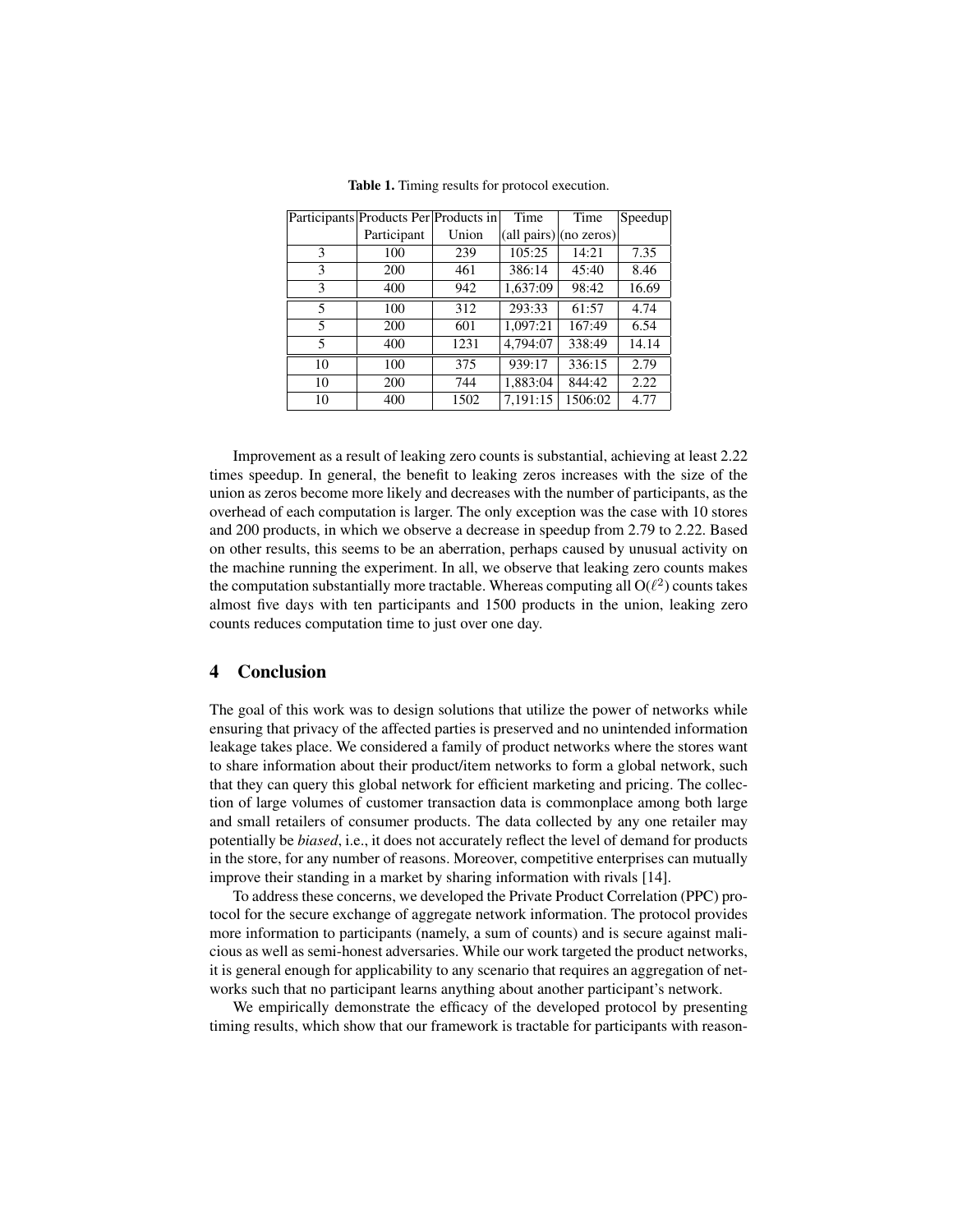|    | Participants Products Per Products in |       | Time     | Time                            | Speedup |
|----|---------------------------------------|-------|----------|---------------------------------|---------|
|    | Participant                           | Union |          | $\text{(all pairs)}$ (no zeros) |         |
| 3  | 100                                   | 239   | 105:25   | 14:21                           | 7.35    |
| 3  | 200                                   | 461   | 386:14   | 45:40                           | 8.46    |
| 3  | 400                                   | 942   | 1,637:09 | 98:42                           | 16.69   |
| 5  | 100                                   | 312   | 293:33   | 61:57                           | 4.74    |
| 5  | 200                                   | 601   | 1,097:21 | 167:49                          | 6.54    |
| 5  | 400                                   | 1231  | 4,794:07 | 338:49                          | 14.14   |
| 10 | 100                                   | 375   | 939:17   | 336:15                          | 2.79    |
| 10 | 200                                   | 744   | 1,883:04 | 844:42                          | 2.22    |
| 10 | 400                                   | 1502  | 7.191:15 | 1506:02                         | 4.77    |

Table 1. Timing results for protocol execution.

Improvement as a result of leaking zero counts is substantial, achieving at least 2.22 times speedup. In general, the benefit to leaking zeros increases with the size of the union as zeros become more likely and decreases with the number of participants, as the overhead of each computation is larger. The only exception was the case with 10 stores and 200 products, in which we observe a decrease in speedup from 2.79 to 2.22. Based on other results, this seems to be an aberration, perhaps caused by unusual activity on the machine running the experiment. In all, we observe that leaking zero counts makes the computation substantially more tractable. Whereas computing all  $O(\ell^2)$  counts takes almost five days with ten participants and 1500 products in the union, leaking zero counts reduces computation time to just over one day.

### 4 Conclusion

The goal of this work was to design solutions that utilize the power of networks while ensuring that privacy of the affected parties is preserved and no unintended information leakage takes place. We considered a family of product networks where the stores want to share information about their product/item networks to form a global network, such that they can query this global network for efficient marketing and pricing. The collection of large volumes of customer transaction data is commonplace among both large and small retailers of consumer products. The data collected by any one retailer may potentially be *biased*, i.e., it does not accurately reflect the level of demand for products in the store, for any number of reasons. Moreover, competitive enterprises can mutually improve their standing in a market by sharing information with rivals [14].

To address these concerns, we developed the Private Product Correlation (PPC) protocol for the secure exchange of aggregate network information. The protocol provides more information to participants (namely, a sum of counts) and is secure against malicious as well as semi-honest adversaries. While our work targeted the product networks, it is general enough for applicability to any scenario that requires an aggregation of networks such that no participant learns anything about another participant's network.

We empirically demonstrate the efficacy of the developed protocol by presenting timing results, which show that our framework is tractable for participants with reason